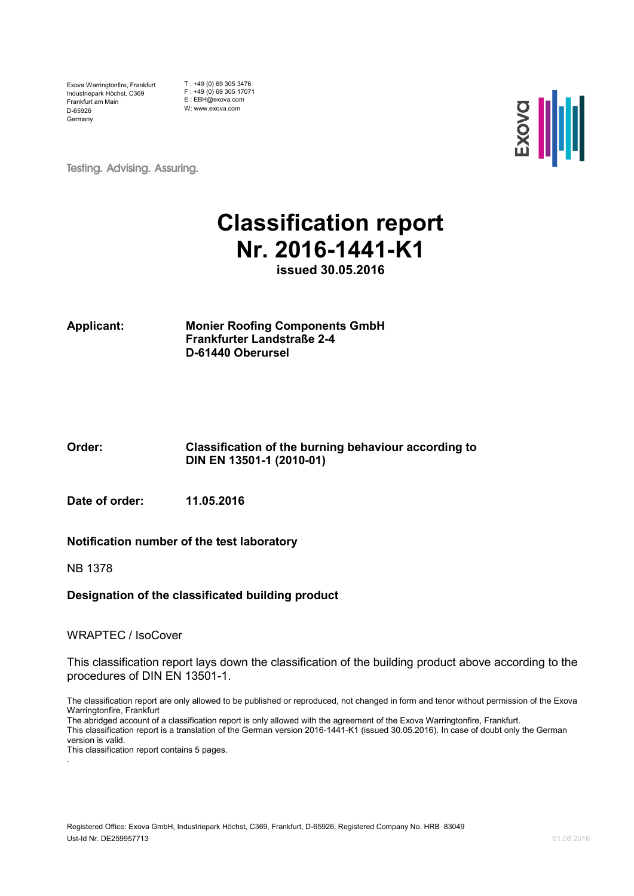Exova Warringtonfire, Frankfurt Industriepark Höchst, C369 Frankfurt am Main D-65926 Germany

T : +49 (0) 69 305 3476 F : +49 (0) 69 305 17071 E : EBH@exova.com W: www.exova.com



**Testing. Advising. Assuring.** 

## **Classification report Nr. 2016-1441-K1**

**issued 30.05.2016**

**Applicant: Monier Roofing Components GmbH Frankfurter Landstraße 2-4 D-61440 Oberursel**

#### **Order: Classification of the burning behaviour according to DIN EN 13501-1 (2010-01)**

**Date of order: 11.05.2016**

#### **Notification number of the test laboratory**

NB 1378

#### **Designation of the classificated building product**

#### WRAPTEC / IsoCover

This classification report lays down the classification of the building product above according to the procedures of DIN EN 13501-1.

The classification report are only allowed to be published or reproduced, not changed in form and tenor without permission of the Exova Warringtonfire, Frankfurt

The abridged account of a classification report is only allowed with the agreement of the Exova Warringtonfire, Frankfurt.

This classification report is a translation of the German version 2016-1441-K1 (issued 30.05.2016). In case of doubt only the German version is valid.

This classification report contains 5 pages. .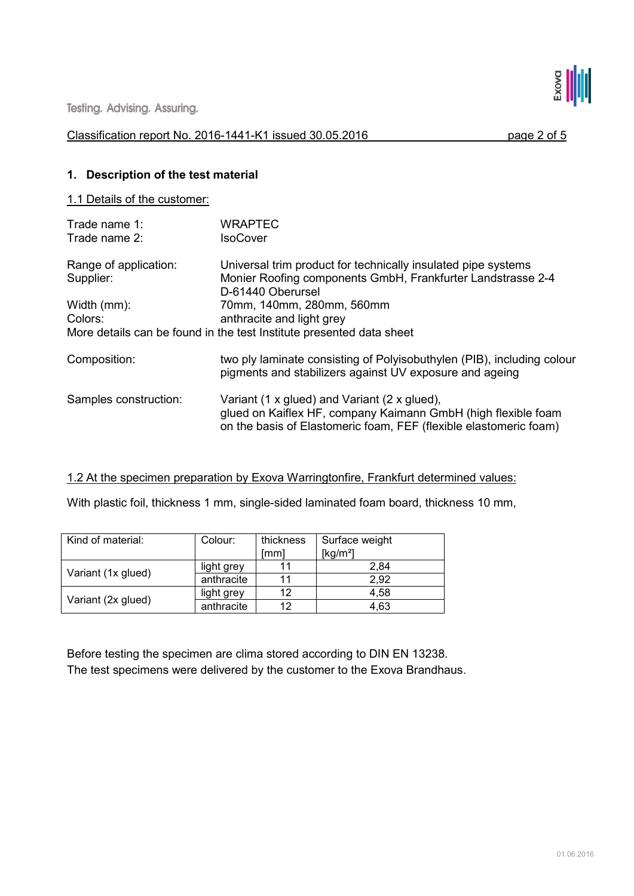Testing. Advising. Assuring.

#### Classification report No. 2016-1441-K1 issued 30.05.2016 page 2 of 5

**SSILL** 

#### **1. Description of the test material**

#### 1.1 Details of the customer:

| Trade name 1:<br>Trade name 2:     | WRAPTEC<br><b>IsoCover</b>                                                                                                                                                         |
|------------------------------------|------------------------------------------------------------------------------------------------------------------------------------------------------------------------------------|
| Range of application:<br>Supplier: | Universal trim product for technically insulated pipe systems<br>Monier Roofing components GmbH, Frankfurter Landstrasse 2-4<br>D-61440 Oberursel                                  |
| Width (mm):                        | 70mm, 140mm, 280mm, 560mm                                                                                                                                                          |
| Colors:                            | anthracite and light grey                                                                                                                                                          |
|                                    | More details can be found in the test Institute presented data sheet                                                                                                               |
| Composition:                       | two ply laminate consisting of Polyisobuthylen (PIB), including colour<br>pigments and stabilizers against UV exposure and ageing                                                  |
| Samples construction:              | Variant (1 x glued) and Variant (2 x glued),<br>glued on Kaiflex HF, company Kaimann GmbH (high flexible foam<br>on the basis of Elastomeric foam, FEF (flexible elastomeric foam) |

#### 1.2 At the specimen preparation by Exova Warringtonfire, Frankfurt determined values:

With plastic foil, thickness 1 mm, single-sided laminated foam board, thickness 10 mm,

| Kind of material:  | Colour:    | thickness<br>lmml | Surface weight<br>[kg/m <sup>2</sup> ] |
|--------------------|------------|-------------------|----------------------------------------|
| Variant (1x glued) | light grey |                   | 2.84                                   |
|                    | anthracite |                   | 2.92                                   |
|                    | light grey | 12                | 4.58                                   |
| Variant (2x glued) | anthracite | 12                | 4.63                                   |

Before testing the specimen are clima stored according to DIN EN 13238. The test specimens were delivered by the customer to the Exova Brandhaus.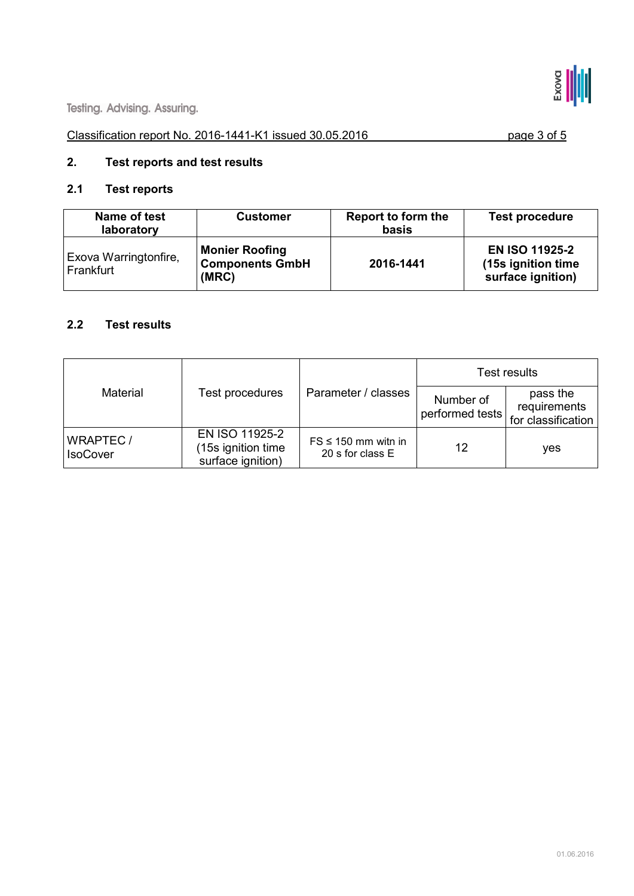

#### Classification report No. 2016-1441-K1 issued 30.05.2016 page 3 of 5

### **2. Test reports and test results**

#### **2.1 Test reports**

| Name of test<br>laboratory         | <b>Customer</b>                                          | Report to form the<br>basis | <b>Test procedure</b>                                             |
|------------------------------------|----------------------------------------------------------|-----------------------------|-------------------------------------------------------------------|
| Exova Warringtonfire,<br>Frankfurt | <b>Monier Roofing</b><br><b>Components GmbH</b><br>(MRC) | 2016-1441                   | <b>EN ISO 11925-2</b><br>(15s ignition time)<br>surface ignition) |

#### **2.2 Test results**

| Material                           | Test procedures                                           | Parameter / classes                          | Test results                 |                                                |
|------------------------------------|-----------------------------------------------------------|----------------------------------------------|------------------------------|------------------------------------------------|
|                                    |                                                           |                                              | Number of<br>performed tests | pass the<br>requirements<br>for classification |
| <b>WRAPTEC/</b><br><b>IsoCover</b> | EN ISO 11925-2<br>(15s ignition time<br>surface ignition) | $FS \leq 150$ mm with in<br>20 s for class E | 12                           | <b>ves</b>                                     |